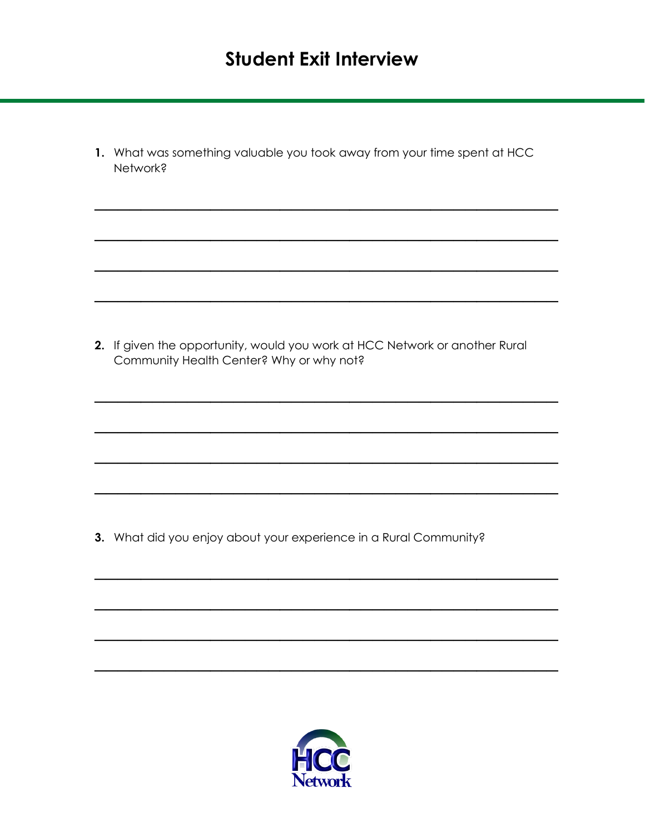**1.** What was something valuable you took away from your time spent at HCC Network?

 $\mathcal{L}_\text{max}$  and  $\mathcal{L}_\text{max}$  and  $\mathcal{L}_\text{max}$  and  $\mathcal{L}_\text{max}$ 

 $\mathcal{L}=\{1,2,3,4\}$  , we can assume that  $\mathcal{L}=\{1,2,3,4\}$  , we can assume that  $\mathcal{L}=\{1,2,3,4\}$ 

 $\mathcal{L}_\text{max}$  and  $\mathcal{L}_\text{max}$  and  $\mathcal{L}_\text{max}$  and  $\mathcal{L}_\text{max}$  and  $\mathcal{L}_\text{max}$ 

 $\mathcal{L}_\text{max}$  and  $\mathcal{L}_\text{max}$  and  $\mathcal{L}_\text{max}$  and  $\mathcal{L}_\text{max}$ 

 $\mathcal{L}_\text{max}$  and  $\mathcal{L}_\text{max}$  and  $\mathcal{L}_\text{max}$  and  $\mathcal{L}_\text{max}$  and  $\mathcal{L}_\text{max}$ 

 $\mathcal{L}_\text{max}$  and  $\mathcal{L}_\text{max}$  and  $\mathcal{L}_\text{max}$  and  $\mathcal{L}_\text{max}$  and  $\mathcal{L}_\text{max}$ 

 $\mathcal{L}_\text{max}$  and  $\mathcal{L}_\text{max}$  and  $\mathcal{L}_\text{max}$  and  $\mathcal{L}_\text{max}$ 

 $\mathcal{L}_\text{max}$  and  $\mathcal{L}_\text{max}$  and  $\mathcal{L}_\text{max}$  and  $\mathcal{L}_\text{max}$  and  $\mathcal{L}_\text{max}$ 

 $\mathcal{L}_\text{max}$  and  $\mathcal{L}_\text{max}$  and  $\mathcal{L}_\text{max}$  and  $\mathcal{L}_\text{max}$ 

 $\mathcal{L}=\{1,2,3,4\}$  , we can assume that  $\mathcal{L}=\{1,2,3,4\}$  , we can assume that  $\mathcal{L}=\{1,2,3,4\}$ 

 $\mathcal{L}_\text{max}$  and  $\mathcal{L}_\text{max}$  and  $\mathcal{L}_\text{max}$  and  $\mathcal{L}_\text{max}$  and  $\mathcal{L}_\text{max}$ 

 $\mathcal{L}_\text{max}$  and  $\mathcal{L}_\text{max}$  and  $\mathcal{L}_\text{max}$  and  $\mathcal{L}_\text{max}$ 

**2.** If given the opportunity, would you work at HCC Network or another Rural Community Health Center? Why or why not?

**3.** What did you enjoy about your experience in a Rural Community?